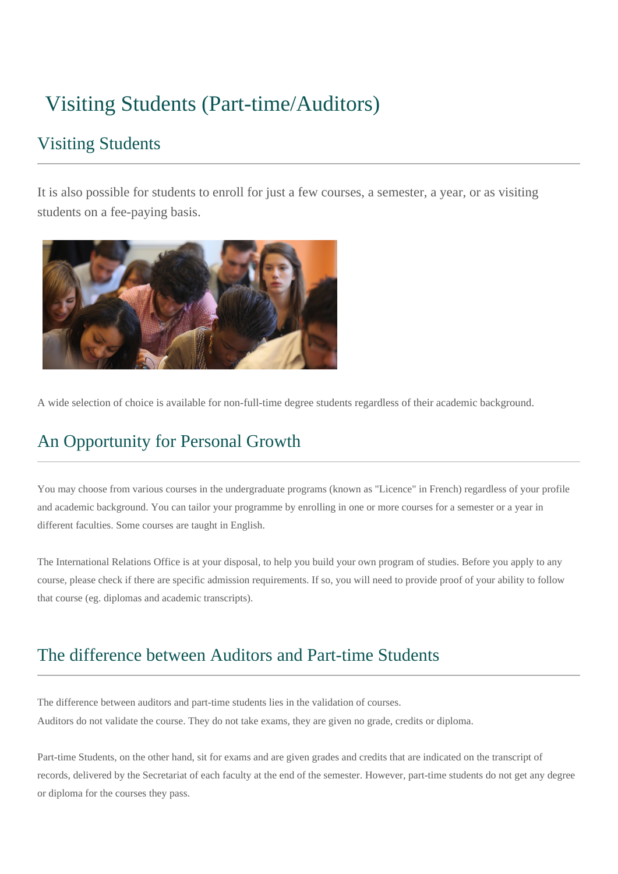# Visiting Students (Part-time/Auditors)

#### Visiting Students

It is also possible for students to enroll for just a few courses, a semester, a year, or as visiting students on a fee-paying basis.



A wide selection of choice is available for non-full-time degree students regardless of their academic background.

## An Opportunity for Personal Growth

You may choose from various courses in the undergraduate programs (known as "Licence" in French) regardless of your profile and academic background. You can tailor your programme by enrolling in one or more courses for a semester or a year in different faculties. Some courses are taught in English.

The International Relations Office is at your disposal, to help you build your own program of studies. Before you apply to any course, please check if there are specific admission requirements. If so, you will need to provide proof of your ability to follow that course (eg. diplomas and academic transcripts).

### The difference between Auditors and Part-time Students

The difference between auditors and part-time students lies in the validation of courses. Auditors do not validate the course. They do not take exams, they are given no grade, credits or diploma.

Part-time Students, on the other hand, sit for exams and are given grades and credits that are indicated on the transcript of records, delivered by the Secretariat of each faculty at the end of the semester. However, part-time students do not get any degree or diploma for the courses they pass.